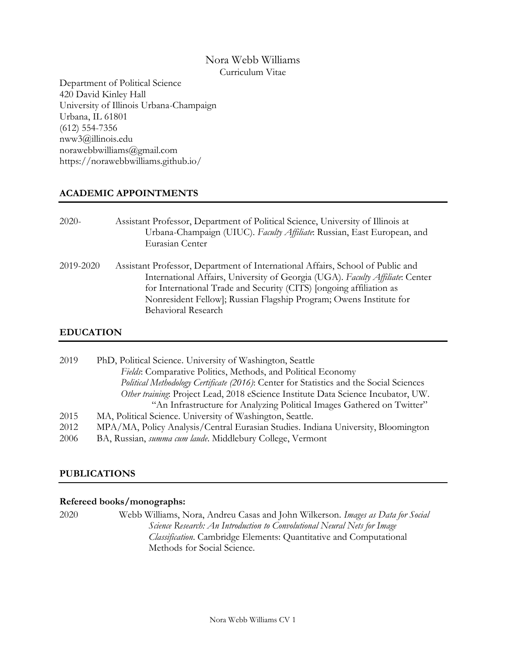## Nora Webb Williams Curriculum Vitae

Department of Political Science 420 David Kinley Hall University of Illinois Urbana-Champaign Urbana, IL 61801 (612) 554-7356 nww3@illinois.edu norawebbwilliams@gmail.com https://norawebbwilliams.github.io/

## **ACADEMIC APPOINTMENTS**

- 2020- Assistant Professor, Department of Political Science, University of Illinois at Urbana-Champaign (UIUC). *Faculty Affiliate*: Russian, East European, and Eurasian Center
- 2019-2020 Assistant Professor, Department of International Affairs, School of Public and International Affairs, University of Georgia (UGA). *Faculty Affiliate*: Center for International Trade and Security (CITS) [ongoing affiliation as Nonresident Fellow]; Russian Flagship Program; Owens Institute for Behavioral Research

## **EDUCATION**

| 2019 | PhD, Political Science. University of Washington, Seattle                               |
|------|-----------------------------------------------------------------------------------------|
|      | Fields: Comparative Politics, Methods, and Political Economy                            |
|      | Political Methodology Certificate (2016): Center for Statistics and the Social Sciences |
|      | Other training: Project Lead, 2018 eScience Institute Data Science Incubator, UW.       |
|      | "An Infrastructure for Analyzing Political Images Gathered on Twitter"                  |
| 2015 | MA, Political Science. University of Washington, Seattle.                               |
| 2012 | MPA/MA, Policy Analysis/Central Eurasian Studies. Indiana University, Bloomington       |
| 2006 | BA, Russian, summa cum laude. Middlebury College, Vermont                               |

### **PUBLICATIONS**

### **Refereed books/monographs:**

2020 Webb Williams, Nora, Andreu Casas and John Wilkerson. *Images as Data for Social Science Research: An Introduction to Convolutional Neural Nets for Image Classification*. Cambridge Elements: Quantitative and Computational Methods for Social Science.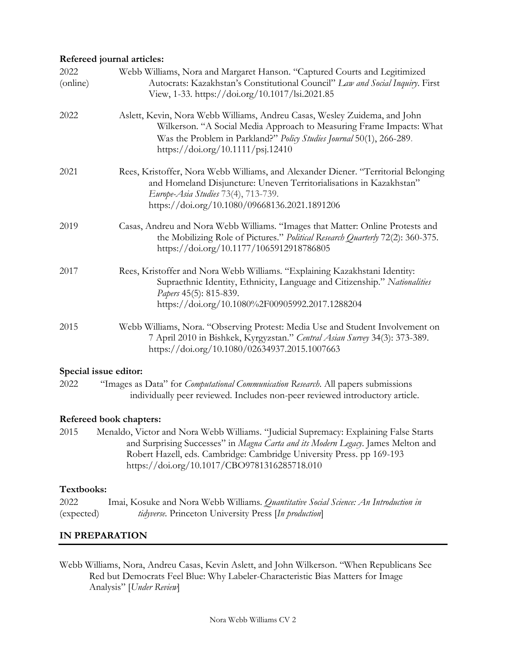### **Refereed journal articles:**

| 2022<br>(online) | Webb Williams, Nora and Margaret Hanson. "Captured Courts and Legitimized<br>Autocrats: Kazakhstan's Constitutional Council" Law and Social Inquiry. First<br>View, 1-33. https://doi.org/10.1017/lsi.2021.85                                                  |
|------------------|----------------------------------------------------------------------------------------------------------------------------------------------------------------------------------------------------------------------------------------------------------------|
| 2022             | Aslett, Kevin, Nora Webb Williams, Andreu Casas, Wesley Zuidema, and John<br>Wilkerson. "A Social Media Approach to Measuring Frame Impacts: What<br>Was the Problem in Parkland?" Policy Studies Journal 50(1), 266-289.<br>https://doi.org/10.1111/psj.12410 |
| 2021             | Rees, Kristoffer, Nora Webb Williams, and Alexander Diener. "Territorial Belonging<br>and Homeland Disjuncture: Uneven Territorialisations in Kazakhstan"<br>Europe-Asia Studies 73(4), 713-739.<br>https://doi.org/10.1080/09668136.2021.1891206              |
| 2019             | Casas, Andreu and Nora Webb Williams. "Images that Matter: Online Protests and<br>the Mobilizing Role of Pictures." Political Research Quarterly 72(2): 360-375.<br>https://doi.org/10.1177/1065912918786805                                                   |
| 2017             | Rees, Kristoffer and Nora Webb Williams. "Explaining Kazakhstani Identity:<br>Supraethnic Identity, Ethnicity, Language and Citizenship." Nationalities<br>Papers 45(5): 815-839.<br>https://doi.org/10.1080%2F00905992.2017.1288204                           |
| 2015             | Webb Williams, Nora. "Observing Protest: Media Use and Student Involvement on<br>7 April 2010 in Bishkek, Kyrgyzstan." Central Asian Survey 34(3): 373-389.<br>https://doi.org/10.1080/02634937.2015.1007663                                                   |

#### **Special issue editor:**

2022 "Images as Data" for *Computational Communication Research*. All papers submissions individually peer reviewed. Includes non-peer reviewed introductory article.

### **Refereed book chapters:**

2015 Menaldo, Victor and Nora Webb Williams. "Judicial Supremacy: Explaining False Starts and Surprising Successes" in *Magna Carta and its Modern Legacy*. James Melton and Robert Hazell, eds. Cambridge: Cambridge University Press. pp 169-193 https://doi.org/10.1017/CBO9781316285718.010

### **Textbooks:**

| 2022       | Imai, Kosuke and Nora Webb Williams. Quantitative Social Science: An Introduction in |
|------------|--------------------------------------------------------------------------------------|
| (expected) | <i>tidyverse</i> . Princeton University Press [In production]                        |

### **IN PREPARATION**

Webb Williams, Nora, Andreu Casas, Kevin Aslett, and John Wilkerson. "When Republicans See Red but Democrats Feel Blue: Why Labeler-Characteristic Bias Matters for Image Analysis" [*Under Review*]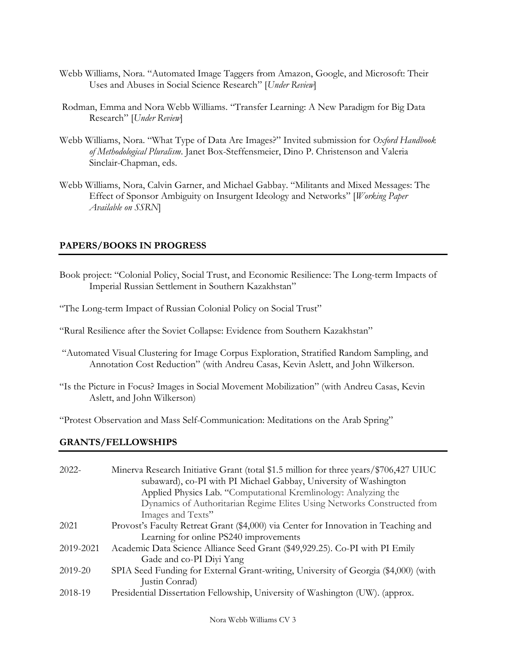- Webb Williams, Nora. "Automated Image Taggers from Amazon, Google, and Microsoft: Their Uses and Abuses in Social Science Research" [*Under Review*]
- Rodman, Emma and Nora Webb Williams. "Transfer Learning: A New Paradigm for Big Data Research" [*Under Review*]
- Webb Williams, Nora. "What Type of Data Are Images?" Invited submission for *Oxford Handbook of Methodological Pluralism*. Janet Box-Steffensmeier, Dino P. Christenson and Valeria Sinclair-Chapman, eds.
- Webb Williams, Nora, Calvin Garner, and Michael Gabbay. "Militants and Mixed Messages: The Effect of Sponsor Ambiguity on Insurgent Ideology and Networks" [*Working Paper Available on SSRN*]

### **PAPERS/BOOKS IN PROGRESS**

- Book project: "Colonial Policy, Social Trust, and Economic Resilience: The Long-term Impacts of Imperial Russian Settlement in Southern Kazakhstan"
- "The Long-term Impact of Russian Colonial Policy on Social Trust"
- "Rural Resilience after the Soviet Collapse: Evidence from Southern Kazakhstan"
- "Automated Visual Clustering for Image Corpus Exploration, Stratified Random Sampling, and Annotation Cost Reduction" (with Andreu Casas, Kevin Aslett, and John Wilkerson.
- "Is the Picture in Focus? Images in Social Movement Mobilization" (with Andreu Casas, Kevin Aslett, and John Wilkerson)

"Protest Observation and Mass Self-Communication: Meditations on the Arab Spring"

#### **GRANTS/FELLOWSHIPS**

| 2022-     | Minerva Research Initiative Grant (total \$1.5 million for three years/\$706,427 UIUC<br>subaward), co-PI with PI Michael Gabbay, University of Washington<br>Applied Physics Lab. "Computational Kremlinology: Analyzing the |
|-----------|-------------------------------------------------------------------------------------------------------------------------------------------------------------------------------------------------------------------------------|
|           | Dynamics of Authoritarian Regime Elites Using Networks Constructed from                                                                                                                                                       |
|           | Images and Texts"                                                                                                                                                                                                             |
| 2021      | Provost's Faculty Retreat Grant (\$4,000) via Center for Innovation in Teaching and                                                                                                                                           |
|           | Learning for online PS240 improvements                                                                                                                                                                                        |
| 2019-2021 | Academic Data Science Alliance Seed Grant (\$49,929.25). Co-PI with PI Emily                                                                                                                                                  |
|           | Gade and co-PI Divi Yang                                                                                                                                                                                                      |
| 2019-20   | SPIA Seed Funding for External Grant-writing, University of Georgia (\$4,000) (with                                                                                                                                           |
|           | Justin Conrad)                                                                                                                                                                                                                |
| 2018-19   | Presidential Dissertation Fellowship, University of Washington (UW). (approx.                                                                                                                                                 |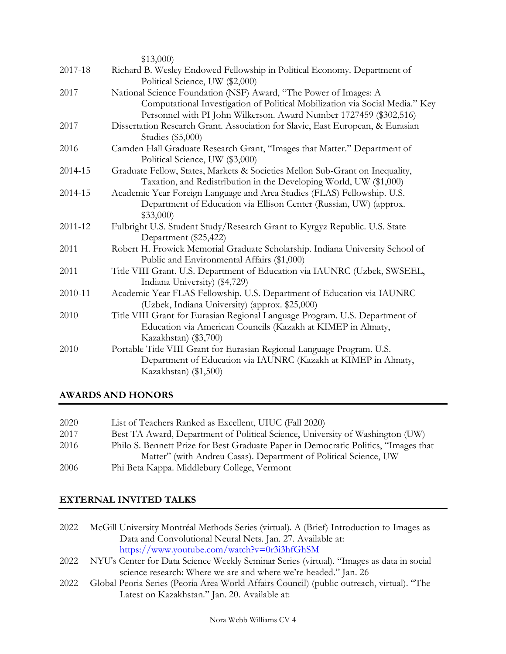|         | \$13,000                                                                                                                                                            |
|---------|---------------------------------------------------------------------------------------------------------------------------------------------------------------------|
| 2017-18 | Richard B. Wesley Endowed Fellowship in Political Economy. Department of                                                                                            |
|         | Political Science, UW (\$2,000)                                                                                                                                     |
| 2017    | National Science Foundation (NSF) Award, "The Power of Images: A                                                                                                    |
|         | Computational Investigation of Political Mobilization via Social Media." Key<br>Personnel with PI John Wilkerson. Award Number 1727459 (\$302,516)                  |
| 2017    | Dissertation Research Grant. Association for Slavic, East European, & Eurasian<br>Studies (\$5,000)                                                                 |
| 2016    | Camden Hall Graduate Research Grant, "Images that Matter." Department of<br>Political Science, UW (\$3,000)                                                         |
| 2014-15 | Graduate Fellow, States, Markets & Societies Mellon Sub-Grant on Inequality,<br>Taxation, and Redistribution in the Developing World, UW (\$1,000)                  |
| 2014-15 | Academic Year Foreign Language and Area Studies (FLAS) Fellowship. U.S.                                                                                             |
|         | Department of Education via Ellison Center (Russian, UW) (approx.<br>\$33,000                                                                                       |
| 2011-12 | Fulbright U.S. Student Study/Research Grant to Kyrgyz Republic. U.S. State<br>Department (\$25,422)                                                                 |
| 2011    | Robert H. Frowick Memorial Graduate Scholarship. Indiana University School of<br>Public and Environmental Affairs (\$1,000)                                         |
| 2011    | Title VIII Grant. U.S. Department of Education via IAUNRC (Uzbek, SWSEEL,<br>Indiana University) (\$4,729)                                                          |
| 2010-11 | Academic Year FLAS Fellowship. U.S. Department of Education via IAUNRC<br>(Uzbek, Indiana University) (approx. \$25,000)                                            |
| 2010    | Title VIII Grant for Eurasian Regional Language Program. U.S. Department of<br>Education via American Councils (Kazakh at KIMEP in Almaty,<br>Kazakhstan) (\$3,700) |
| 2010    | Portable Title VIII Grant for Eurasian Regional Language Program. U.S.<br>Department of Education via IAUNRC (Kazakh at KIMEP in Almaty,<br>Kazakhstan) (\$1,500)   |

# **AWARDS AND HONORS**

| 2020 | List of Teachers Ranked as Excellent, UIUC (Fall 2020)                              |
|------|-------------------------------------------------------------------------------------|
| 2017 | Best TA Award, Department of Political Science, University of Washington (UW)       |
| 2016 | Philo S. Bennett Prize for Best Graduate Paper in Democratic Politics, "Images that |
|      | Matter" (with Andreu Casas). Department of Political Science, UW                    |
| 2006 | Phi Beta Kappa. Middlebury College, Vermont                                         |

## **EXTERNAL INVITED TALKS**

| 2022 | McGill University Montréal Methods Series (virtual). A (Brief) Introduction to Images as |
|------|------------------------------------------------------------------------------------------|
|      | Data and Convolutional Neural Nets. Jan. 27. Available at:                               |
|      | https://www.youtube.com/watch?v=0r3i3hfGhSM                                              |
| 2022 | NYU's Center for Data Science Weekly Seminar Series (virtual) "Images as data in social  |

- 2022 NYU's Center for Data Science Weekly Seminar Series (virtual). "Images as data in social science research: Where we are and where we're headed." Jan. 26
- 2022 Global Peoria Series (Peoria Area World Affairs Council) (public outreach, virtual). "The Latest on Kazakhstan." Jan. 20. Available at: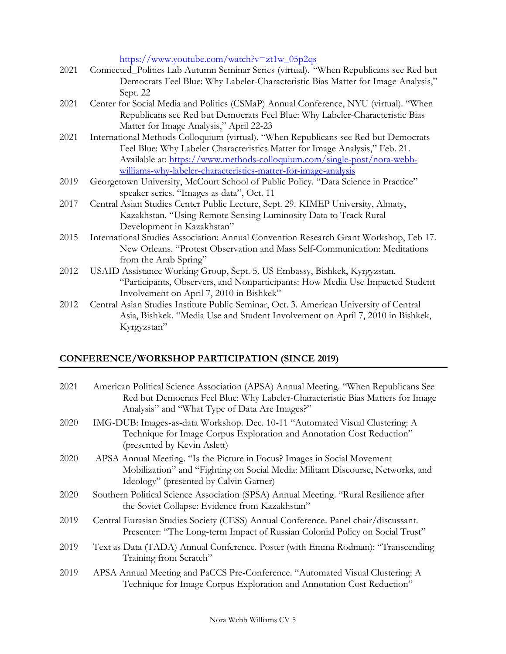[https://www.youtube.com/watch?v=zt1w\\_05p2qs](https://www.youtube.com/watch?v=zt1w_05p2qs)

- 2021 Connected\_Politics Lab Autumn Seminar Series (virtual). "When Republicans see Red but Democrats Feel Blue: Why Labeler-Characteristic Bias Matter for Image Analysis," Sept. 22
- 2021 Center for Social Media and Politics (CSMaP) Annual Conference, NYU (virtual). "When Republicans see Red but Democrats Feel Blue: Why Labeler-Characteristic Bias Matter for Image Analysis," April 22-23
- 2021 International Methods Colloquium (virtual). "When Republicans see Red but Democrats Feel Blue: Why Labeler Characteristics Matter for Image Analysis," Feb. 21. Available at: [https://www.methods-colloquium.com/single-post/nora-webb](https://www.methods-colloquium.com/single-post/nora-webb-williams-why-labeler-characteristics-matter-for-image-analysis)[williams-why-labeler-characteristics-matter-for-image-analysis](https://www.methods-colloquium.com/single-post/nora-webb-williams-why-labeler-characteristics-matter-for-image-analysis)
- 2019 Georgetown University, McCourt School of Public Policy. "Data Science in Practice" speaker series. "Images as data", Oct. 11
- 2017 Central Asian Studies Center Public Lecture, Sept. 29. KIMEP University, Almaty, Kazakhstan. "Using Remote Sensing Luminosity Data to Track Rural Development in Kazakhstan"
- 2015 International Studies Association: Annual Convention Research Grant Workshop, Feb 17. New Orleans. "Protest Observation and Mass Self-Communication: Meditations from the Arab Spring"
- 2012 USAID Assistance Working Group, Sept. 5. US Embassy, Bishkek, Kyrgyzstan. "Participants, Observers, and Nonparticipants: How Media Use Impacted Student Involvement on April 7, 2010 in Bishkek"
- 2012 Central Asian Studies Institute Public Seminar, Oct. 3. American University of Central Asia, Bishkek. "Media Use and Student Involvement on April 7, 2010 in Bishkek, Kyrgyzstan"

## **CONFERENCE/WORKSHOP PARTICIPATION (SINCE 2019)**

| 2021 | American Political Science Association (APSA) Annual Meeting. "When Republicans See<br>Red but Democrats Feel Blue: Why Labeler-Characteristic Bias Matters for Image<br>Analysis" and "What Type of Data Are Images?" |
|------|------------------------------------------------------------------------------------------------------------------------------------------------------------------------------------------------------------------------|
| 2020 | IMG-DUB: Images-as-data Workshop. Dec. 10-11 "Automated Visual Clustering: A<br>Technique for Image Corpus Exploration and Annotation Cost Reduction"<br>(presented by Kevin Aslett)                                   |
| 2020 | APSA Annual Meeting. "Is the Picture in Focus? Images in Social Movement<br>Mobilization" and "Fighting on Social Media: Militant Discourse, Networks, and<br>Ideology" (presented by Calvin Garner)                   |
| 2020 | Southern Political Science Association (SPSA) Annual Meeting. "Rural Resilience after<br>the Soviet Collapse: Evidence from Kazakhstan"                                                                                |
| 2019 | Central Eurasian Studies Society (CESS) Annual Conference. Panel chair/discussant.<br>Presenter: "The Long-term Impact of Russian Colonial Policy on Social Trust"                                                     |
| 2019 | Text as Data (TADA) Annual Conference. Poster (with Emma Rodman): "Transcending<br>Training from Scratch"                                                                                                              |
| 2019 | APSA Annual Meeting and PaCCS Pre-Conference. "Automated Visual Clustering: A<br>Technique for Image Corpus Exploration and Annotation Cost Reduction"                                                                 |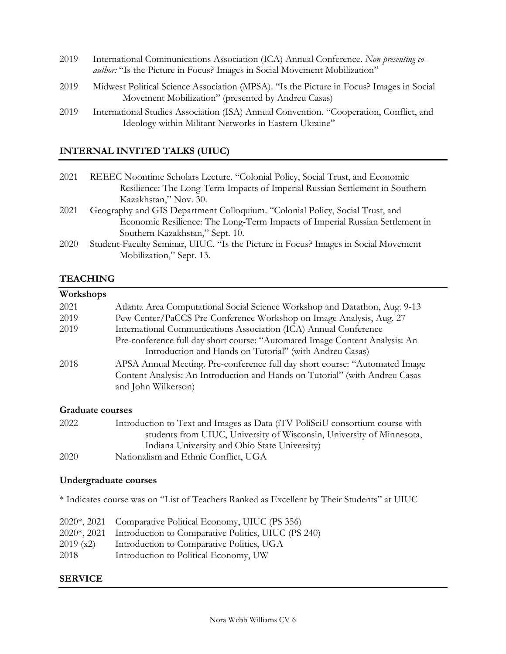| 2019 | International Communications Association (ICA) Annual Conference. Non-presenting co-<br><i>author</i> : "Is the Picture in Focus? Images in Social Movement Mobilization" |
|------|---------------------------------------------------------------------------------------------------------------------------------------------------------------------------|
| 2019 | Midwest Political Science Association (MPSA). "Is the Picture in Focus? Images in Social<br>Movement Mobilization" (presented by Andreu Casas)                            |

2019 International Studies Association (ISA) Annual Convention. "Cooperation, Conflict, and Ideology within Militant Networks in Eastern Ukraine"

## **INTERNAL INVITED TALKS (UIUC)**

| Resilience: The Long-Term Impacts of Imperial Russian Settlement in Southern       |
|------------------------------------------------------------------------------------|
|                                                                                    |
| Geography and GIS Department Colloquium. "Colonial Policy, Social Trust, and       |
| Economic Resilience: The Long-Term Impacts of Imperial Russian Settlement in       |
|                                                                                    |
| Student-Faculty Seminar, UIUC. "Is the Picture in Focus? Images in Social Movement |
|                                                                                    |
|                                                                                    |

# **TEACHING**

| Workshops |                                                                                                                                                                                   |
|-----------|-----------------------------------------------------------------------------------------------------------------------------------------------------------------------------------|
| 2021      | Atlanta Area Computational Social Science Workshop and Datathon, Aug. 9-13                                                                                                        |
| 2019      | Pew Center/PaCCS Pre-Conference Workshop on Image Analysis, Aug. 27                                                                                                               |
| 2019      | International Communications Association (ICA) Annual Conference                                                                                                                  |
|           | Pre-conference full day short course: "Automated Image Content Analysis: An<br>Introduction and Hands on Tutorial" (with Andreu Casas)                                            |
| 2018      | APSA Annual Meeting. Pre-conference full day short course: "Automated Image<br>Content Analysis: An Introduction and Hands on Tutorial" (with Andreu Casas<br>and John Wilkerson) |

### **Graduate courses**

| 2022 | Introduction to Text and Images as Data (iTV PoliSciU consortium course with |
|------|------------------------------------------------------------------------------|
|      | students from UIUC, University of Wisconsin, University of Minnesota,        |
|      | Indiana University and Ohio State University)                                |
| 2020 | Nationalism and Ethnic Conflict, UGA                                         |

### **Undergraduate courses**

\* Indicates course was on "List of Teachers Ranked as Excellent by Their Students" at UIUC

|          | 2020*, 2021 Comparative Political Economy, UIUC (PS 356)        |
|----------|-----------------------------------------------------------------|
|          | 2020*, 2021 Introduction to Comparative Politics, UIUC (PS 240) |
| 2019(x2) | Introduction to Comparative Politics, UGA                       |
| 2018     | Introduction to Political Economy, UW                           |

## **SERVICE**